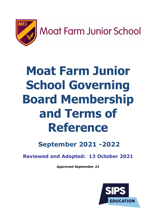

Moat Farm Junior School

# **Moat Farm Junior School Governing Board Membership and Terms of Reference**

**September 2021 -2022**

**Reviewed and Adopted: 13 October 2021**

*Approved September 21*

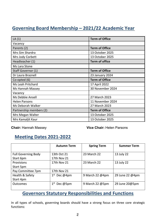# **Governing Board Membership – 2021/22 Academic Year**

| LA(1)                   | <b>Term of Office</b> |
|-------------------------|-----------------------|
| Vacancy                 |                       |
| Parents (2)             | <b>Term of Office</b> |
| Mrs Sim Shardra         | 13 October 2025       |
| Mrs Jody Corbett        | 13 October 2025       |
| Headteacher (1)         | <b>Term of office</b> |
| Ms Lara Stone           |                       |
| Staff Governor (1)      | <b>Term of Office</b> |
| Dr Laura Braznell       | 23 January 2024       |
| Co-opted (6)            | <b>Term of Office</b> |
| Ms Leah Pritchard       | 17 April 2022         |
| Ms Hannah Massey        | 30 November 2024      |
| Vacancy                 |                       |
| Ms Debbie Ansell        | 27 March 2023         |
| <b>Helen Parsons</b>    | 11 November 2024      |
| Ms Deborah Walker       | 27 March 2023         |
| Partnership members (2) | <b>Term of Office</b> |
| Mrs Megan Walter        | 13 October 2025       |
| Mrs Kamaljit Kaur       | 13 October 2025       |

**Chair:** Hannah Massey **Vice Chair:** Helen Parsons

# **Meeting Dates 2021-2022**

|                            | <b>Autumn Term</b>       | <b>Spring Term</b> | <b>Summer Term</b> |
|----------------------------|--------------------------|--------------------|--------------------|
|                            |                          |                    |                    |
| <b>Full Governing Body</b> | 13th Oct 21              | 23 March 22        | 13 July 22         |
| Start 6pm                  | 17th Nov 21              |                    |                    |
| Provisions                 | 17th Nov 21              | 23 March 22        | 13 July 22         |
| Start 5pm                  |                          |                    |                    |
| Pay Committee 7pm          | 17th Nov 21              |                    |                    |
| Health & Safety            | $1st$ Dec @4pm           | 9 March 22 @4pm    | 29 June 22 @4pm    |
| Start 4pm                  |                          |                    |                    |
| <b>Outcomes</b>            | $1^{\rm st}$<br>Dec @5pm | 9 March 22 @5pm    | 29 June 20@5pm     |
|                            |                          |                    |                    |

# **Governors Statutory Responsibilities and Functions**

In all types of schools, governing boards should have a strong focus on three core strategic functions: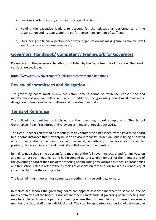- a) Ensuring clarity of vision, ethos and strategic direction;
- b) Holding the executive leaders to account for the educational performance of the organisation and its pupils, and the performance management of staff; and
- c) Overseeing the financial performance of the organisation and making sure its money is well spent. (*Extract from Governors Handbook January 2017)*

## **Governors' Handbook/ Competency Framework for Governors**

Please refer to the governors' handbook published by the Department for Education. The latest versions are available:

https://www.gov.uk/government/publications/governance-handbook

## **Review of committees and delegation**

The governing board must review the establishment, terms of reference, constitution and membership of any committee annually. In addition, the governing board must review the delegation of functions to committees and individuals annually.

### **Terms of Reference**

The following committees established by the governing board comply with The School Governance (Role, Procedures and Allowances) (England) Regulations 2013.

The Head Teacher can attend all meetings of any committee established by the governing board but in some instances this may only be in an advisory capacity. When an issue is being discussed which directly affects the Head Teacher they must, as with any other governor in a similar position, declare an interest and physically withdraw from the meeting.

In maintained schools the quorum for a meeting of the full governing board and for any vote on any matter at such meeting, is one half (rounded up to a whole number) of the membership of the governing board at the time of the meeting **not including any vacant positions.** For academies and free schools please refer to their Articles of Association for the quorum. In the event of equal votes the chair has the casting vote.

The legal minimum quorum for committee meetings is three voting governors.

In maintained schools the governing board can appoint associate members to serve on one or more committees of the board. Associate members can attend full governing board meetings but may be excluded from any part of a meeting where the business being considered concerns a member of school staff or an individual pupil. They can be appointed for a period of between one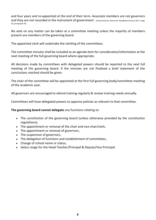and four years and re-appointed at the end of their term. Associate members are not governors and they are not recorded in the instrument of government. *(Extracted from Governors Handbook January 2017- page 50, paragraph 42)*

No vote on any matter can be taken at a committee meeting unless the majority of members present are members of the governing board.

The appointed clerk will undertake the clerking of the committees.

The committee minutes shall be included as an agenda item for consideration/information at the next meeting of the full governing board where appropriate.

All decisions made by committees with delegated powers should be reported to the next full meeting of the governing board. If the minutes are not finalised a brief statement of the conclusions reached should be given.

The chair of the committee will be appointed at the first full governing body/committee meeting of the academic year.

All governors are encouraged to attend training regularly & review training needs annually.

Committees will have delegated powers to approve policies as relevant to that committee.

**The governing board cannot delegate** any functions relating to:

- $\bullet$  The constitution of the governing board (unless otherwise provided by the constitution regulations),
- $\bullet$  The appointment or removal of the chair and vice chair/clerk,
- $\bullet$  The appointment or removal of governors,
- $\bullet$  The suspension of governors,
- $\bullet$  The delegation of functions and establishment of committees,
- Change of school name or status,
- ◆ Salary range for the Head Teacher/Principal & Deputy/Vice Principal.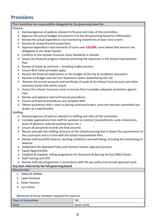# **Provisions**

#### The Committee has responsibility delegated by the governing board for:

#### **Finance:**

- $\triangleright$  Review/approve all policies relevant to finance and roles of the committee.
- $\triangleright$  Approve the annual budget and present it to the full governing board for information.
- $\triangleright$  Review the actual expenditure and monitoring statements at least once a term.
- $\triangleright$  Receive & review financial projections.
- Ø Approve expenditure and virements of sums over **£20,000**, sums below that amount are delegated to the Head Teacher
- Ø Conform to the Schools Financial Value Standards in Schools.
- $\triangleright$  Assess the financial progress towards achieving the objectives in the School Improvement Plan.
- $\triangleright$  Review of leases & contracts including traded services.
- $\triangleright$  Ensure Best Value principles apply.
- $\triangleright$  Review the financial implications on the budget of the Pay & Conditions document.
- $\triangleright$  Receive LA Budget and Out turn Statement (when published by the LA)
- $\triangleright$  Receive the annual accounts and certificate of audit of the School Fund Account and other voluntary funds held within school
- $\triangleright$  Assess the schools insurance cover to ensure that it provides adequate protection against risks.
- $\triangleright$  Review and approve internal financial procedures.
- $\triangleright$  Ensure LA financial procedures are complied with.
- $\triangleright$  Obtain quotations with a view to placing contracts/orders, once the relevant committee has drawn up a specification.

#### **Staffing:**

- $\triangleright$  Review/approve all policies relevant to staffing and roles of the committee
- $\triangleright$  Consider applications from staff for variation to contract (secondments, early retirements, leave of absence, reduced working hours etc.)
- $\triangleright$  Ensure all personnel records are held securely.
- $\triangleright$  Review annually the staffing structure of the school ensuring that it meets the requirements of the curriculum and is in line with the School Improvement Plan.
- $\triangleright$  Review staff work/life balance, working conditions and well-being, including the monitoring of absence.
- $\triangleright$  Implement the Appraisal Policy and monitor teacher appraisal process.
- $\triangleright$  Equal Opportunities
- Ø Establish & maintain rolling programme for Disclosure & Barring Service (DBS) Checks.
- $\triangleright$  Staff training and CPD
- $\triangleright$  Review staff pay progression in accordance with the pay policy and annual appraisal cycle.

#### **Any item referred by the full governing board**

#### **Membership**

- 1. Deborah Walker
- 2. Leah Pritchard
- 3. Helen Parsons
- 4. Lara Stone

Minimum of three members required for quorum

| <b>Chair of Committee</b> | <b>TBC</b> |
|---------------------------|------------|
| <b>Clerk</b>              | Sarah Lamb |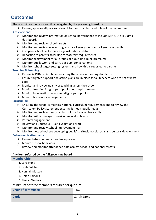# **Outcomes**

The committee has responsibility delegated by the governing board for:

 $\triangleright$  Review/approve all policies relevant to the curriculum and roles of the committee **Achievement:**

#### $\triangleright$  Monitor and review information on school performance to include ASP & OFSTED data dashboard.

- $\triangleright$  Monitor and review school targets
- $\triangleright$  Monitor and review in year progress for all year groups and all groups of pupils
- $\triangleright$  Compare school performance against national data
- $\triangleright$  Reporting to parents according to statutory requirements
- $\triangleright$  Monitor achievement for all groups of pupils (inc. pupil premium)
- $\triangleright$  Monitor pupils work and carry out pupil conversations
- $\triangleright$  Monitor school target setting systems and how this is reported to parents.

#### **Teaching & Learning:**

- $\triangleright$  Review ASP/Data Dashboard ensuring the school is meeting standards
- $\triangleright$  Ensure targeted support and action plans are in place for all teachers who are not at least good
- $\triangleright$  Monitor and review quality of teaching across the school.
- $\triangleright$  Monitor teaching for groups of pupils (inc. pupil premium)
- $\triangleright$  Monitor intervention groups for all groups of pupils
- $\triangleright$  Monitor homework arrangements

#### **Curriculum:**

- $\triangleright$  Ensuring the school is meeting national curriculum requirements and to review the Curriculum Policy Statement ensuring it meets pupils needs
- $\triangleright$  Monitor and review the curriculum with a focus on basic skills
- $\triangleright$  Monitor skills coverage of curriculum in all subjects
- $\triangleright$  Parental engagement
- $\triangleright$  Review and update SEF (Self Evaluation Form)
- $\triangleright$  Monitor and review School Improvement Plan
- $\triangleright$  Monitor how school are developing pupils' spiritual, moral, social and cultural development

#### **Behaviour & attendance:**

- $\triangleright$  Review behaviour and attendance polices.
- $\triangleright$  Monitor school behaviour
- $\triangleright$  Review and monitor attendance data against school and national targets.

#### **Any item referred by the full governing board**

#### **Membership**

- 1. Lara Stone
- 2. Leah Pritchard
- 3. Hannah Massey
- 4. Helen Parsons
- 5. Megan Walters

#### Minimum of three members required for quorum

| <b>Chair of committee</b> | <b>TBC</b> |
|---------------------------|------------|
| <b>Clerk</b>              | Sarah Lamb |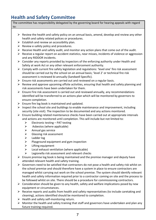# **Health and Safety Committee**

The committee has responsibility delegated by the governing board for hearing appeals with regard to:

- $\triangleright$  Review the health and safety policy on an annual basis, amend, develop and review any other health and safety related polices or procedures.
- $\triangleright$  Establish and review an accessibility plan.
- $\triangleright$  Review e-safety policy and procedures.
- $\triangleright$  Receive Health and safety audit, and monitor any action plans that come out of the audit.
- $\triangleright$  Receive a regular report on accident statistics, near misses, incidents of violence or aggression and any RIDDOR incidents.
- $\triangleright$  Consider any reports provided by inspectors of the enforcing authority under Health and Safety at work Act or any other relevant enforcement authority.
- $\triangleright$  Comply with current fire safety legislation and regulations: 'level one' fire risk assessment should be carried out by the school on an annual basis; 'level 2' or technical fire risk assessment is reviewed bi-annually (Sandwell Specific).
- $\triangleright$  Ensure risk assessments are carried out and reviewed on a regular basis.
- $\triangleright$  Review and approve upcoming offsite activities, ensuring that health and safety planning and risk assessments have been undertaken for them.
- $\triangleright$  Ensure Fire risk assessment is carried out and reviewed annually, any recommendations identified will be transferred to an actions plan which will be monitored by governors to ensure completion.
- $\triangleright$  Ensure fire log book is maintained and updated.
- $\triangleright$  Inspect the school site and buildings to enable maintenance and improvement, including security (site visit). The inspection to be documented and any actions monitored.
- $\triangleright$  Ensure building related maintenance checks have been carried out at appropriate intervals and actions are monitored until completion. This will include but not limited to:
	- $\triangleright$  Electronic testing PAT testing
	- $\triangleright$  Asbestos (where applicable)
	- $\triangleright$  Annual gas service
	- $\triangleright$  Glassing risk assessment
	- $\triangleright$  Ladder log
	- $\triangleright$  Playground equipment and gym inspection
	- $\triangleright$  Lifting equipment
	- $\triangleright$  Local exhaust ventilation (where applicable)
	- $\triangleright$  Legionella risk assessment and relevant checks
- $\triangleright$  Ensure premise log book is being maintained and the premise manager and deputy have attended relevant health and safety training.
- $\triangleright$  Governors need to be satisfied that contractors do not pose a health and safety risk whilst on the school premise and should therefore have a system in place to ensure contractors are managed whilst carrying out work on the school premise. The system should identify relevant health and safety information required prior to a contractor coming on site and the process to be followed whilst on site. There should be a procedure for commissioning contractors.
- $\triangleright$  Consideration should be given to any health, safety and welfare implications posed by new equipment or circumstances.
- $\triangleright$  Receive reports and audits from health and safety representatives (to include caretaking and cleaning), actions identified should be monitored to completion.
- $\triangleright$  Health and safety self-monitoring return.
- $\triangleright$  Monitor the health and safety training that staff and governors have undertaken and plan any future training required.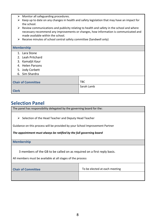|              | $\triangleright$ Monitor all safeguarding procedures.                                                      |            |  |
|--------------|------------------------------------------------------------------------------------------------------------|------------|--|
| ➤            | Keep up to date on any changes in health and safety legislation that may have an impact for                |            |  |
|              | the school.                                                                                                |            |  |
|              | $\triangleright$ Review communications and publicity relating to health and safety in the school and where |            |  |
|              | necessary recommend any improvements or changes, how information is communicated and                       |            |  |
|              | made available within the school.                                                                          |            |  |
|              | $\triangleright$ Receive minutes of school central safety committee (Sandwell only)                        |            |  |
|              |                                                                                                            |            |  |
|              | <b>Membership</b>                                                                                          |            |  |
|              | 1. Lara Stone                                                                                              |            |  |
|              | 2. Leah Pritchard                                                                                          |            |  |
|              | 3. Kamaljit Kaur                                                                                           |            |  |
|              | 4. Helen Parsons                                                                                           |            |  |
|              | 5. Jody Corbett                                                                                            |            |  |
|              | 6. Sim Shardra                                                                                             |            |  |
|              |                                                                                                            |            |  |
|              | <b>Chair of Committee</b>                                                                                  | <b>TBC</b> |  |
|              |                                                                                                            | Sarah Lamb |  |
| <b>Clerk</b> |                                                                                                            |            |  |

# **Selection Panel**

The panel has responsibility delegated by the governing board for the:

 $\triangleright$  Selection of the Head Teacher and Deputy Head Teacher

Guidance on this process will be provided by your School Improvement Partner

#### *The appointment must always be ratified by the full governing board*

**Membership**

3 members of the GB to be called on as required on a first reply basis.

All members must be available at all stages of the process

| <b>Chair of Committee</b> | To be elected at each meeting |
|---------------------------|-------------------------------|
|                           |                               |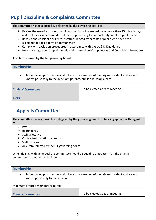# **Pupil Discipline & Complaints Committee**

| The committee has responsibility delegated by the governing board to:                                                                                                                                                                                                                                                                                                                                                                                                                                                     |                               |  |
|---------------------------------------------------------------------------------------------------------------------------------------------------------------------------------------------------------------------------------------------------------------------------------------------------------------------------------------------------------------------------------------------------------------------------------------------------------------------------------------------------------------------------|-------------------------------|--|
| Review the use of exclusions within school, including exclusions of more than 15 schools days<br>➤<br>and exclusions which would result in a pupil missing the opportunity to take a public exam<br>Receive and consider any representations lodged by parents of pupils who have been<br>➤<br>excluded for a fixed term or permanently<br>Comply with exclusion procedures in accordance with the LA & DfE guidance<br>➤<br>Hear any stage two complaint made under the school Compliments and Complaints Procedure<br>➤ |                               |  |
| Any item referred by the full governing board                                                                                                                                                                                                                                                                                                                                                                                                                                                                             |                               |  |
| <b>Membership</b>                                                                                                                                                                                                                                                                                                                                                                                                                                                                                                         |                               |  |
| To be made up of members who have no awareness of the original incident and are not<br>known personally to the appellant parents, pupils and complainant                                                                                                                                                                                                                                                                                                                                                                  |                               |  |
| <b>Chair of Committee</b>                                                                                                                                                                                                                                                                                                                                                                                                                                                                                                 | To be elected at each meeting |  |
| <b>Clerk</b>                                                                                                                                                                                                                                                                                                                                                                                                                                                                                                              |                               |  |

# **Appeals Committee**

| The committee has responsibility delegated by the governing board for hearing appeals with regard                              |                               |  |
|--------------------------------------------------------------------------------------------------------------------------------|-------------------------------|--|
| to:                                                                                                                            |                               |  |
| $\triangleright$ Pay                                                                                                           |                               |  |
| Redundancy                                                                                                                     |                               |  |
| Staff grievance<br>➤                                                                                                           |                               |  |
| Contractual variation requests<br>➤                                                                                            |                               |  |
| Staff dismissal<br>➤                                                                                                           |                               |  |
| Any Item referred by the full governing board<br>➤                                                                             |                               |  |
| When dealing with an appeal the committee should be equal to or greater than the original<br>committee that made the decision. |                               |  |
| <b>Membership</b>                                                                                                              |                               |  |
| To be made up of members who have no awareness of the original incident and are not<br>٠<br>known personally to the appellant  |                               |  |
| Minimum of three members required                                                                                              |                               |  |
|                                                                                                                                |                               |  |
| <b>Chair of Committee</b>                                                                                                      | To be elected at each meeting |  |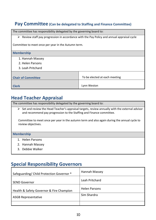## **Pay Committee (Can be delegated to Staffing and Finance Committee)**

The committee has responsibility delegated by the governing board to:  $\triangleright$  Review staff pay progression in accordance with the Pay Policy and annual appraisal cycle Committee to meet once per year in the Autumn term. **Membership** 1. Hannah Massey 2. Helen Parsons 3. Leah Pritchard **Chair of Committee Chair Committee Chair Committee Chair Committee Chair Committee Chair Committee Chair Committee Chair Committee Chair Committee Chair Committee Chair Committee Chair Committee Chair Committee Chair Comm Clerk** Lynn Weston

# **Head Teacher Appraisal**

The committee has responsibility delegated by the governing board to:

 $\triangleright$  Set and review the Head Teacher's appraisal targets, review annually with the external advisor and recommend pay progression to the Staffing and Finance committee.

Committee to meet once per year in the autumn term and also again during the annual cycle to review objectives.

#### **Membership**

- 1. Helen Parsons
- 2. Hannah Massey
- 3. Debbie Walker

## **Special Responsibility Governors**

| Safeguarding/ Child Protection Governor * | Hannah Massey        |
|-------------------------------------------|----------------------|
| <b>SEND Governor</b>                      | Leah Pritchard       |
| Health & Safety Governor & Fire Champion  | <b>Helen Parsons</b> |
| <b>ASGB Representative</b>                | Sim Shardra          |
|                                           |                      |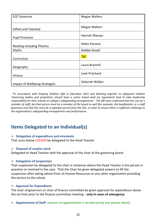| <b>EQT Governor</b>              | <b>Megan Walters</b> |
|----------------------------------|----------------------|
| <b>Gifted and Talented</b>       | <b>Megan Walters</b> |
| <b>Pupil Premium</b>             | Hannah Massey        |
| <b>Reading including Phonics</b> | <b>Helen Parsons</b> |
| Maths                            | Debbie Ansell        |
| Curriculum                       | <b>TBC</b>           |
| Geography                        | Laura Braznell       |
| History                          | Leah Pritchard       |
| Impact of Wellbeing Strategies   | Deborah Walker       |

*\*In accordance with Keeping Children Safe in Education 2021 and Working together to safeguard children 'Governing bodies and proprietors should have a senior board level (or equivalent) lead to take leadership responsibility for their schools or college's safeguarding arrangements.' The DfE have confirmed that this can be a member of staff, but that person must be a member of the board as well (for example, the headteacher or a staff governor) and that this must be a separate person from the DSL, in order to ensure there is sufficient challenge to the organisation's safeguarding arrangements and performance.* 

# **Items Delegated to an Individual(s)**

#### Ø **Delegation of expenditure and virements**

That sums below £20,000 be delegated to the Head Teacher

#### Ø **Disposal of surplus stock**

Delegated to Head Teacher with the approval of the chair of the governing board.

#### Ø **Delegation of Suspension**

That suspension be delegated to the chair in instances where the Head Teacher is the person in question or involved in the case. That the Chair be given delegated powers to lift the suspension after taking advice from LA Human Resources or any other organisation providing the service to the school.

#### Ø **Approval for Expenditure**

The chair of governors or chair of finance committee be given approval for expenditure above the set limit prior to the finance committee meeting – **only in cases of emergency**

Ø **Appointment of Staff** (ensure no appointment is carried out by one person alone)